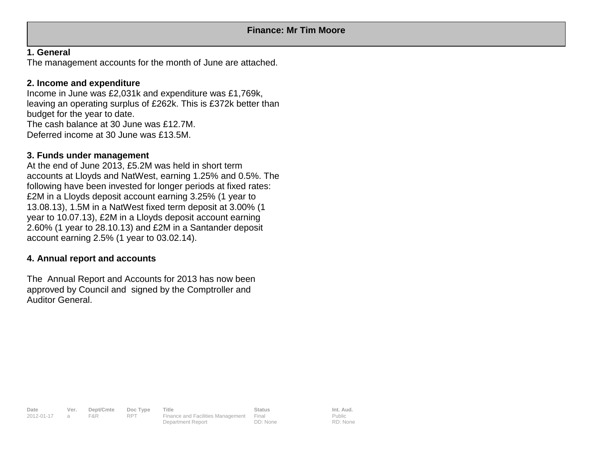# **1. General**

The management accounts for the month of June are attached.

# **2. Income and expenditure**

Income in June was £2,031k and expenditure was £1,769k, leaving an operating surplus of £262k. This is £372k better than budget for the year to date. The cash balance at 30 June was £12.7M. Deferred income at 30 June was £13.5M.

# **3. Funds under management**

At the end of June 2013, £5.2M was held in short term accounts at Lloyds and NatWest, earning 1.25% and 0.5%. The following have been invested for longer periods at fixed rates: £2M in a Lloyds deposit account earning 3.25% (1 year to 13.08.13), 1.5M in a NatWest fixed term deposit at 3.00% (1 year to 10.07.13), £2M in a Lloyds deposit account earning 2.60% (1 year to 28.10.13) and £2M in a Santander deposit account earning 2.5% (1 year to 03.02.14).

# **4. Annual report and accounts**

The Annual Report and Accounts for 2013 has now been approved by Council and signed by the Comptroller and Auditor General.

**Date Ver. Dept/Cmte Doc Type Title Status Status Int. Aud.**<br>
2012-01-17 a F&R RPT Finance and Facilities Management Final **Public** 2012-01-17 a F&R RPT Finance and Facilities Management Final Department Report DD: None

Public RD: None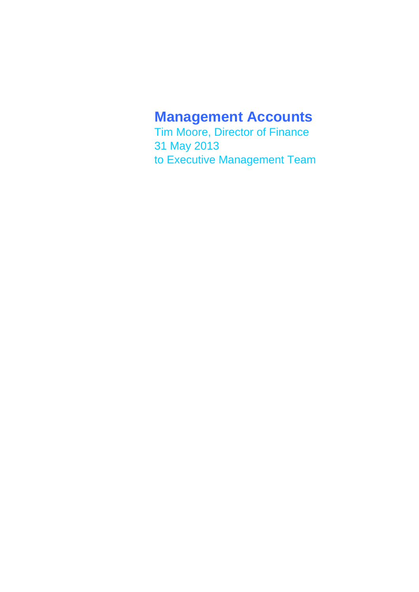# **Management Accounts**

Tim Moore, Director of Finance 31 May 2013 to Executive Management Team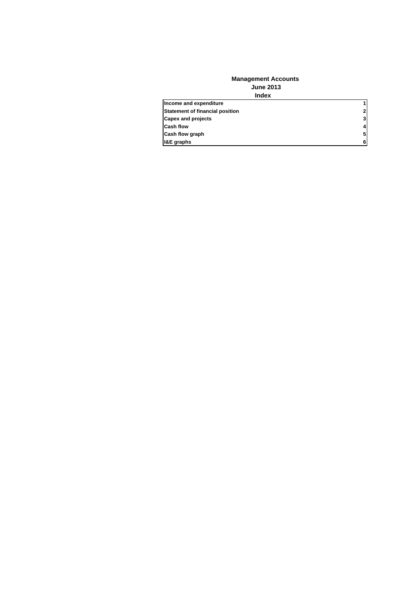#### **Index Management Accounts June 2013**

| Income and expenditure          | 1            |
|---------------------------------|--------------|
| Statement of financial position | $\mathbf{2}$ |
| <b>Capex and projects</b>       | 3            |
| <b>Cash flow</b>                | 4            |
| Cash flow graph                 | 5            |
| <b>I&amp;E</b> graphs           | 6            |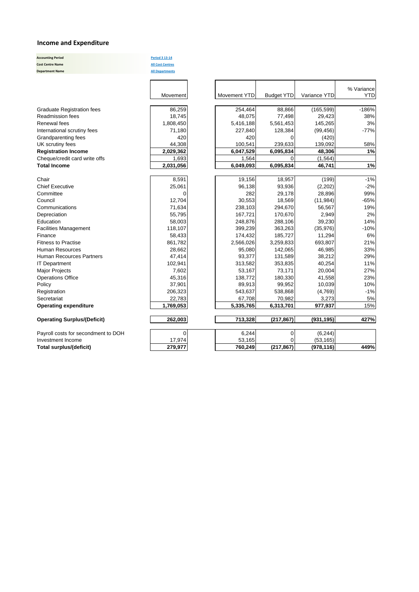### **Income and Expenditure**

**Accounting Period Period 3 13‐14 Cost Centre Name All Cost Centres Department Name All Departments**

|                                     |           |              |                   |              | % Variance |
|-------------------------------------|-----------|--------------|-------------------|--------------|------------|
|                                     | Movement  | Movement YTD | <b>Budget YTD</b> | Variance YTD | <b>YTD</b> |
|                                     |           |              |                   |              |            |
| <b>Graduate Registration fees</b>   | 86,259    | 254,464      | 88,866            | (165, 599)   | $-186%$    |
| <b>Readmission fees</b>             | 18,745    | 48,075       | 77,498            | 29,423       | 38%        |
| Renewal fees                        | 1,808,450 | 5,416,188    | 5,561,453         | 145,265      | 3%         |
| International scrutiny fees         | 71,180    | 227,840      | 128,384           | (99, 456)    | $-77%$     |
| Grandparenting fees                 | 420       | 420          | 0                 | (420)        |            |
| UK scrutiny fees                    | 44,308    | 100,541      | 239,633           | 139,092      | 58%        |
| <b>Registration Income</b>          | 2,029,362 | 6,047,529    | 6,095,834         | 48,306       | 1%         |
| Cheque/credit card write offs       | 1,693     | 1,564        | $\Omega$          | (1, 564)     |            |
| <b>Total Income</b>                 | 2,031,056 | 6,049,093    | 6,095,834         | 46,741       | 1%         |
| Chair                               | 8,591     | 19,156       | 18,957            | (199)        | $-1%$      |
| <b>Chief Executive</b>              | 25,061    | 96,138       | 93,936            | (2, 202)     | $-2%$      |
| Committee                           | $\Omega$  | 282          | 29,178            | 28,896       | 99%        |
| Council                             | 12,704    | 30,553       | 18,569            | (11, 984)    | $-65%$     |
| Communications                      | 71,634    | 238,103      | 294,670           | 56,567       | 19%        |
| Depreciation                        | 55,795    | 167,721      | 170,670           | 2,949        | 2%         |
| Education                           | 58,003    | 248,876      | 288,106           | 39,230       | 14%        |
| <b>Facilities Management</b>        | 118,107   | 399,239      | 363,263           | (35, 976)    | $-10%$     |
| Finance                             | 58,433    | 174,432      | 185,727           | 11,294       | 6%         |
| <b>Fitness to Practise</b>          | 861,782   | 2,566,026    | 3,259,833         | 693,807      | 21%        |
| Human Resources                     | 28,662    | 95,080       | 142,065           | 46,985       | 33%        |
| <b>Human Recources Partners</b>     | 47,414    | 93,377       | 131,589           | 38,212       | 29%        |
| <b>IT Department</b>                | 102,941   | 313,582      | 353,835           | 40,254       | 11%        |
| <b>Major Projects</b>               | 7,602     | 53,167       | 73,171            | 20,004       | 27%        |
| <b>Operations Office</b>            | 45,316    | 138,772      | 180,330           | 41,558       | 23%        |
| Policy                              | 37,901    | 89,913       | 99,952            | 10,039       | 10%        |
| Registration                        | 206,323   | 543,637      | 538,868           | (4,769)      | $-1%$      |
| Secretariat                         | 22,783    | 67,708       | 70,982            | 3,273        | 5%         |
| <b>Operating expenditure</b>        | 1,769,053 | 5,335,765    | 6,313,701         | 977,937      | 15%        |
| <b>Operating Surplus/(Deficit)</b>  | 262,003   | 713,328      | (217, 867)        | (931, 195)   | 427%       |
| Payroll costs for secondment to DOH | 0         | 6,244        | $\overline{0}$    | (6, 244)     |            |
| Investment Income                   | 17,974    | 53,165       | $\Omega$          | (53, 165)    |            |
| Total surplus/(deficit)             | 279,977   | 760,249      | (217, 867)        | (978, 116)   | 449%       |
|                                     |           |              |                   |              |            |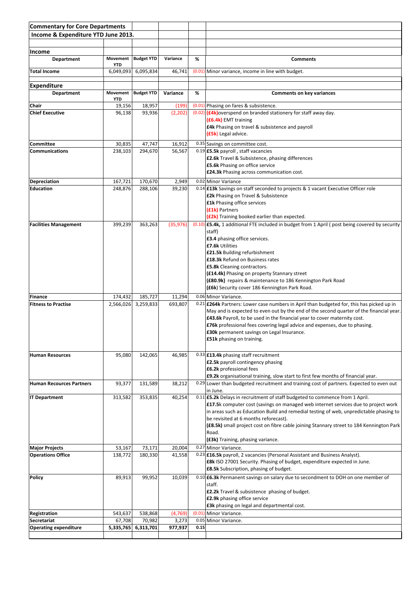| <b>Commentary for Core Departments</b>       |                      |                      |                   |      |                                                                                                                          |
|----------------------------------------------|----------------------|----------------------|-------------------|------|--------------------------------------------------------------------------------------------------------------------------|
| Income & Expenditure YTD June 2013.          |                      |                      |                   |      |                                                                                                                          |
|                                              |                      |                      |                   |      |                                                                                                                          |
| <b>Income</b>                                |                      |                      |                   |      |                                                                                                                          |
| <b>Department</b>                            | Movement             | <b>Budget YTD</b>    | Variance          | %    | <b>Comments</b>                                                                                                          |
| <b>Total Income</b>                          | <b>YTD</b>           |                      |                   |      |                                                                                                                          |
|                                              | 6,049,093            | 6,095,834            | 46,741            |      | (0.01) Minor variance, income in line with budget.                                                                       |
| Expenditure                                  |                      |                      |                   |      |                                                                                                                          |
| <b>Department</b>                            | Movement             | <b>Budget YTD</b>    | Variance          | %    | <b>Comments on key variances</b>                                                                                         |
|                                              | <b>YTD</b>           |                      |                   |      |                                                                                                                          |
| Chair<br><b>Chief Executive</b>              | 19,156<br>96,138     | 18,957<br>93,936     | (199)<br>(2, 202) |      | (0.01) Phasing on fares & subsistence.<br>(0.02) (£4k) overspend on branded stationery for staff away day.               |
|                                              |                      |                      |                   |      | (£6.4k) EMT training                                                                                                     |
|                                              |                      |                      |                   |      | £4k Phasing on travel & subsistence and payroll                                                                          |
|                                              |                      |                      |                   |      | (£5k) Legal advice.                                                                                                      |
| Committee                                    | 30,835               | 47,747               | 16,912            |      | 0.35 Savings on committee cost.                                                                                          |
| <b>Communications</b>                        | 238,103              | 294,670              | 56,567            |      | 0.19 £5.5k payroll, staff vacancies                                                                                      |
|                                              |                      |                      |                   |      | <b>£2.6k</b> Travel & Subsistence, phasing differences                                                                   |
|                                              |                      |                      |                   |      | <b>£5.6k</b> Phasing on office service                                                                                   |
|                                              |                      |                      |                   |      | <b>£24.3k</b> Phasing across communication cost.                                                                         |
| Depreciation                                 | 167,721              | 170,670              | 2,949             |      | 0.02 Minor Variance                                                                                                      |
| <b>Education</b>                             | 248,876              | 288,106              | 39,230            |      | 0.14 £13k Savings on staff seconded to projects & 1 vacant Executive Officer role<br>£2k Phasing on Travel & Subsistence |
|                                              |                      |                      |                   |      | <b>£1k</b> Phasing office services                                                                                       |
|                                              |                      |                      |                   |      | (£1k) Partners                                                                                                           |
|                                              |                      |                      |                   |      | (£2k) Training booked earlier than expected.                                                                             |
| <b>Facilities Management</b>                 | 399,239              | 363,263              | (35, 976)         |      | $(0.10)$ <b>£5.4k,</b> 1 additional FTE included in budget from 1 April (post being covered by security                  |
|                                              |                      |                      |                   |      | staff)                                                                                                                   |
|                                              |                      |                      |                   |      | £3.4 phasing office services.<br>£7.6k Utilities                                                                         |
|                                              |                      |                      |                   |      | <b>£21.5k</b> Building refurbishment                                                                                     |
|                                              |                      |                      |                   |      | £18.3k Refund on Business rates                                                                                          |
|                                              |                      |                      |                   |      | £5.8k Cleaning contractors.                                                                                              |
|                                              |                      |                      |                   |      | (£14.4k) Phasing on property Stannary street                                                                             |
|                                              |                      |                      |                   |      | (£80.9k) repairs & maintenance to 186 Kennington Park Road<br>(£6k) Security cover 186 Kennington Park Road.             |
|                                              |                      |                      |                   |      | 0.06 Minor Variance.                                                                                                     |
| <b>Finance</b><br><b>Fitness to Practise</b> | 174,432<br>2,566,026 | 185,727<br>3,259,833 | 11,294<br>693,807 |      | 0.21 <b>£264k</b> Partners: Lower case numbers in April than budgeted for, this has picked up in                         |
|                                              |                      |                      |                   |      | May and is expected to even out by the end of the second quarter of the financial year.                                  |
|                                              |                      |                      |                   |      | £43.6k Payroll, to be used in the financial year to cover maternity cost.                                                |
|                                              |                      |                      |                   |      | £76k professional fees covering legal advice and expenses, due to phasing.                                               |
|                                              |                      |                      |                   |      | £30k permanent savings on Legal Insurance.                                                                               |
|                                              |                      |                      |                   |      | £51k phasing on training.                                                                                                |
| <b>Human Resources</b>                       | 95,080               | 142,065              | 46,985            |      | 0.33 £13.4k phasing staff recruitment                                                                                    |
|                                              |                      |                      |                   |      | £2.5k payroll contingency phasing                                                                                        |
|                                              |                      |                      |                   |      | £6.2k professional fees                                                                                                  |
|                                              |                      |                      |                   |      | <b>£9.2k</b> organisational training, slow start to first few months of financial year.                                  |
| <b>Human Recources Partners</b>              | 93,377               | 131,589              | 38,212            |      | 0.29 Lower than budgeted recruitment and training cost of partners. Expected to even out                                 |
|                                              | 313,582              | 353,835              | 40,254            |      | in June.<br>0.11 <b>£5.2k</b> Delays in recruitment of staff budgeted to commence from 1 April.                          |
| <b>IT Department</b>                         |                      |                      |                   |      | £17.5k computer cost (savings on managed web internet services due to project work                                       |
|                                              |                      |                      |                   |      | in areas such as Education Build and remedial testing of web, unpredictable phasing to                                   |
|                                              |                      |                      |                   |      | be revisited at 6 months reforecast).                                                                                    |
|                                              |                      |                      |                   |      | (£8.5k) small project cost on fibre cable joining Stannary street to 184 Kennington Park                                 |
|                                              |                      |                      |                   |      | Road.                                                                                                                    |
| <b>Major Projects</b>                        | 53,167               | 73,171               | 20,004            |      | (£3k) Training, phasing variance.<br>0.27 Minor Variance.                                                                |
| <b>Operations Office</b>                     | 138,772              | 180,330              | 41,558            |      | 0.23 £16.5k payroll, 2 vacancies (Personal Assistant and Business Analyst).                                              |
|                                              |                      |                      |                   |      | £8k ISO 27001 Security. Phasing of budget, expenditure expected in June.                                                 |
|                                              |                      |                      |                   |      | £8.5k Subscription, phasing of budget.                                                                                   |
| Policy                                       | 89,913               | 99,952               | 10,039            |      | 0.10 £6.3k Permanent savings on salary due to secondment to DOH on one member of                                         |
|                                              |                      |                      |                   |      | staff.                                                                                                                   |
|                                              |                      |                      |                   |      | £2.2k Travel & subsistence phasing of budget.                                                                            |
|                                              |                      |                      |                   |      | £2.9k phasing office service<br><b>£3k</b> phasing on legal and departmental cost.                                       |
| Registration                                 | 543,637              | 538,868              | (4, 769)          |      | (0.01) Minor Variance.                                                                                                   |
| Secretariat                                  | 67,708               | 70,982               | 3,273             |      | 0.05 Minor Variance.                                                                                                     |
| <b>Operating expenditure</b>                 | 5,335,765            | 6,313,701            | 977,937           | 0.15 |                                                                                                                          |
|                                              |                      |                      |                   |      |                                                                                                                          |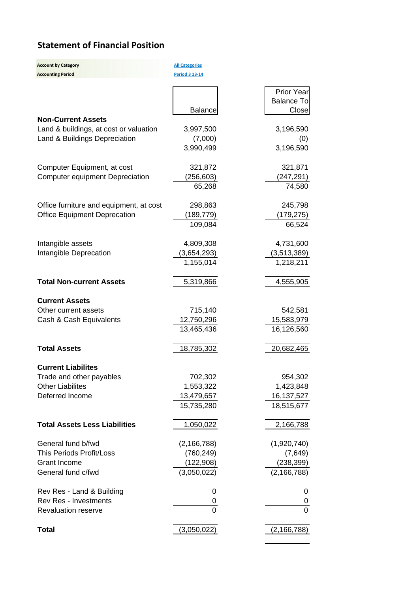# **Statement of Financial Position**

| Period 3 13-14<br><b>Prior Year</b><br><b>Balance To</b><br>Close<br><b>Balance</b><br><b>Non-Current Assets</b><br>3,997,500<br>3,196,590<br>Land & buildings, at cost or valuation<br>Land & Buildings Depreciation<br>(7,000)<br>(0)<br>3,196,590<br>3,990,499<br>321,872<br>321,871<br>Computer Equipment, at cost<br>(256, 603)<br><b>Computer equipment Depreciation</b><br>(247, 291)<br>74,580<br>65,268<br>245,798<br>Office furniture and equipment, at cost<br>298,863<br><b>Office Equipment Deprecation</b><br>(189, 779)<br>(179,275)<br>109,084<br>66,524<br>4,809,308<br>Intangible assets<br>4,731,600<br>Intangible Deprecation<br>(3,654,293)<br>(3,513,389)<br>1,155,014<br>1,218,211<br><b>Total Non-current Assets</b><br>5,319,866<br>4,555,905<br><b>Current Assets</b><br>715,140<br>Other current assets<br>542,581<br>Cash & Cash Equivalents<br>12,750,296<br>15,583,979<br>13,465,436<br>16,126,560<br><b>Total Assets</b><br>18,785,302<br>20,682,465<br><b>Current Liabilites</b><br>954,302<br>702,302<br>Trade and other payables<br><b>Other Liabilites</b><br>1,553,322<br>1,423,848<br>Deferred Income<br>16, 137, 527<br>13,479,657<br>15,735,280<br>18,515,677<br><b>Total Assets Less Liabilities</b><br>1,050,022<br>2,166,788<br>General fund b/fwd<br>(1,920,740)<br>(2, 166, 788)<br><b>This Periods Profit/Loss</b><br>(760, 249)<br>(7,649)<br><b>Grant Income</b><br>(122, 908)<br>(238, 399)<br>General fund c/fwd<br>(3,050,022)<br>(2, 166, 788)<br>Rev Res - Land & Building<br>0<br>0 | <b>Account by Category</b>   | <b>All Categories</b> |   |
|------------------------------------------------------------------------------------------------------------------------------------------------------------------------------------------------------------------------------------------------------------------------------------------------------------------------------------------------------------------------------------------------------------------------------------------------------------------------------------------------------------------------------------------------------------------------------------------------------------------------------------------------------------------------------------------------------------------------------------------------------------------------------------------------------------------------------------------------------------------------------------------------------------------------------------------------------------------------------------------------------------------------------------------------------------------------------------------------------------------------------------------------------------------------------------------------------------------------------------------------------------------------------------------------------------------------------------------------------------------------------------------------------------------------------------------------------------------------------------------------------------------------------------------|------------------------------|-----------------------|---|
|                                                                                                                                                                                                                                                                                                                                                                                                                                                                                                                                                                                                                                                                                                                                                                                                                                                                                                                                                                                                                                                                                                                                                                                                                                                                                                                                                                                                                                                                                                                                          | <b>Accounting Period</b>     |                       |   |
|                                                                                                                                                                                                                                                                                                                                                                                                                                                                                                                                                                                                                                                                                                                                                                                                                                                                                                                                                                                                                                                                                                                                                                                                                                                                                                                                                                                                                                                                                                                                          |                              |                       |   |
|                                                                                                                                                                                                                                                                                                                                                                                                                                                                                                                                                                                                                                                                                                                                                                                                                                                                                                                                                                                                                                                                                                                                                                                                                                                                                                                                                                                                                                                                                                                                          |                              |                       |   |
|                                                                                                                                                                                                                                                                                                                                                                                                                                                                                                                                                                                                                                                                                                                                                                                                                                                                                                                                                                                                                                                                                                                                                                                                                                                                                                                                                                                                                                                                                                                                          |                              |                       |   |
|                                                                                                                                                                                                                                                                                                                                                                                                                                                                                                                                                                                                                                                                                                                                                                                                                                                                                                                                                                                                                                                                                                                                                                                                                                                                                                                                                                                                                                                                                                                                          |                              |                       |   |
|                                                                                                                                                                                                                                                                                                                                                                                                                                                                                                                                                                                                                                                                                                                                                                                                                                                                                                                                                                                                                                                                                                                                                                                                                                                                                                                                                                                                                                                                                                                                          |                              |                       |   |
|                                                                                                                                                                                                                                                                                                                                                                                                                                                                                                                                                                                                                                                                                                                                                                                                                                                                                                                                                                                                                                                                                                                                                                                                                                                                                                                                                                                                                                                                                                                                          |                              |                       |   |
|                                                                                                                                                                                                                                                                                                                                                                                                                                                                                                                                                                                                                                                                                                                                                                                                                                                                                                                                                                                                                                                                                                                                                                                                                                                                                                                                                                                                                                                                                                                                          |                              |                       |   |
|                                                                                                                                                                                                                                                                                                                                                                                                                                                                                                                                                                                                                                                                                                                                                                                                                                                                                                                                                                                                                                                                                                                                                                                                                                                                                                                                                                                                                                                                                                                                          |                              |                       |   |
|                                                                                                                                                                                                                                                                                                                                                                                                                                                                                                                                                                                                                                                                                                                                                                                                                                                                                                                                                                                                                                                                                                                                                                                                                                                                                                                                                                                                                                                                                                                                          |                              |                       |   |
|                                                                                                                                                                                                                                                                                                                                                                                                                                                                                                                                                                                                                                                                                                                                                                                                                                                                                                                                                                                                                                                                                                                                                                                                                                                                                                                                                                                                                                                                                                                                          |                              |                       |   |
|                                                                                                                                                                                                                                                                                                                                                                                                                                                                                                                                                                                                                                                                                                                                                                                                                                                                                                                                                                                                                                                                                                                                                                                                                                                                                                                                                                                                                                                                                                                                          |                              |                       |   |
|                                                                                                                                                                                                                                                                                                                                                                                                                                                                                                                                                                                                                                                                                                                                                                                                                                                                                                                                                                                                                                                                                                                                                                                                                                                                                                                                                                                                                                                                                                                                          |                              |                       |   |
|                                                                                                                                                                                                                                                                                                                                                                                                                                                                                                                                                                                                                                                                                                                                                                                                                                                                                                                                                                                                                                                                                                                                                                                                                                                                                                                                                                                                                                                                                                                                          |                              |                       |   |
|                                                                                                                                                                                                                                                                                                                                                                                                                                                                                                                                                                                                                                                                                                                                                                                                                                                                                                                                                                                                                                                                                                                                                                                                                                                                                                                                                                                                                                                                                                                                          |                              |                       |   |
|                                                                                                                                                                                                                                                                                                                                                                                                                                                                                                                                                                                                                                                                                                                                                                                                                                                                                                                                                                                                                                                                                                                                                                                                                                                                                                                                                                                                                                                                                                                                          |                              |                       |   |
|                                                                                                                                                                                                                                                                                                                                                                                                                                                                                                                                                                                                                                                                                                                                                                                                                                                                                                                                                                                                                                                                                                                                                                                                                                                                                                                                                                                                                                                                                                                                          |                              |                       |   |
|                                                                                                                                                                                                                                                                                                                                                                                                                                                                                                                                                                                                                                                                                                                                                                                                                                                                                                                                                                                                                                                                                                                                                                                                                                                                                                                                                                                                                                                                                                                                          |                              |                       |   |
|                                                                                                                                                                                                                                                                                                                                                                                                                                                                                                                                                                                                                                                                                                                                                                                                                                                                                                                                                                                                                                                                                                                                                                                                                                                                                                                                                                                                                                                                                                                                          |                              |                       |   |
|                                                                                                                                                                                                                                                                                                                                                                                                                                                                                                                                                                                                                                                                                                                                                                                                                                                                                                                                                                                                                                                                                                                                                                                                                                                                                                                                                                                                                                                                                                                                          |                              |                       |   |
|                                                                                                                                                                                                                                                                                                                                                                                                                                                                                                                                                                                                                                                                                                                                                                                                                                                                                                                                                                                                                                                                                                                                                                                                                                                                                                                                                                                                                                                                                                                                          |                              |                       |   |
|                                                                                                                                                                                                                                                                                                                                                                                                                                                                                                                                                                                                                                                                                                                                                                                                                                                                                                                                                                                                                                                                                                                                                                                                                                                                                                                                                                                                                                                                                                                                          |                              |                       |   |
|                                                                                                                                                                                                                                                                                                                                                                                                                                                                                                                                                                                                                                                                                                                                                                                                                                                                                                                                                                                                                                                                                                                                                                                                                                                                                                                                                                                                                                                                                                                                          |                              |                       |   |
|                                                                                                                                                                                                                                                                                                                                                                                                                                                                                                                                                                                                                                                                                                                                                                                                                                                                                                                                                                                                                                                                                                                                                                                                                                                                                                                                                                                                                                                                                                                                          |                              |                       |   |
|                                                                                                                                                                                                                                                                                                                                                                                                                                                                                                                                                                                                                                                                                                                                                                                                                                                                                                                                                                                                                                                                                                                                                                                                                                                                                                                                                                                                                                                                                                                                          |                              |                       |   |
|                                                                                                                                                                                                                                                                                                                                                                                                                                                                                                                                                                                                                                                                                                                                                                                                                                                                                                                                                                                                                                                                                                                                                                                                                                                                                                                                                                                                                                                                                                                                          |                              |                       |   |
|                                                                                                                                                                                                                                                                                                                                                                                                                                                                                                                                                                                                                                                                                                                                                                                                                                                                                                                                                                                                                                                                                                                                                                                                                                                                                                                                                                                                                                                                                                                                          |                              |                       |   |
|                                                                                                                                                                                                                                                                                                                                                                                                                                                                                                                                                                                                                                                                                                                                                                                                                                                                                                                                                                                                                                                                                                                                                                                                                                                                                                                                                                                                                                                                                                                                          |                              |                       |   |
|                                                                                                                                                                                                                                                                                                                                                                                                                                                                                                                                                                                                                                                                                                                                                                                                                                                                                                                                                                                                                                                                                                                                                                                                                                                                                                                                                                                                                                                                                                                                          |                              |                       |   |
|                                                                                                                                                                                                                                                                                                                                                                                                                                                                                                                                                                                                                                                                                                                                                                                                                                                                                                                                                                                                                                                                                                                                                                                                                                                                                                                                                                                                                                                                                                                                          |                              |                       |   |
|                                                                                                                                                                                                                                                                                                                                                                                                                                                                                                                                                                                                                                                                                                                                                                                                                                                                                                                                                                                                                                                                                                                                                                                                                                                                                                                                                                                                                                                                                                                                          |                              |                       |   |
|                                                                                                                                                                                                                                                                                                                                                                                                                                                                                                                                                                                                                                                                                                                                                                                                                                                                                                                                                                                                                                                                                                                                                                                                                                                                                                                                                                                                                                                                                                                                          |                              |                       |   |
|                                                                                                                                                                                                                                                                                                                                                                                                                                                                                                                                                                                                                                                                                                                                                                                                                                                                                                                                                                                                                                                                                                                                                                                                                                                                                                                                                                                                                                                                                                                                          |                              |                       |   |
|                                                                                                                                                                                                                                                                                                                                                                                                                                                                                                                                                                                                                                                                                                                                                                                                                                                                                                                                                                                                                                                                                                                                                                                                                                                                                                                                                                                                                                                                                                                                          |                              |                       |   |
|                                                                                                                                                                                                                                                                                                                                                                                                                                                                                                                                                                                                                                                                                                                                                                                                                                                                                                                                                                                                                                                                                                                                                                                                                                                                                                                                                                                                                                                                                                                                          |                              |                       |   |
|                                                                                                                                                                                                                                                                                                                                                                                                                                                                                                                                                                                                                                                                                                                                                                                                                                                                                                                                                                                                                                                                                                                                                                                                                                                                                                                                                                                                                                                                                                                                          |                              |                       |   |
|                                                                                                                                                                                                                                                                                                                                                                                                                                                                                                                                                                                                                                                                                                                                                                                                                                                                                                                                                                                                                                                                                                                                                                                                                                                                                                                                                                                                                                                                                                                                          |                              |                       |   |
|                                                                                                                                                                                                                                                                                                                                                                                                                                                                                                                                                                                                                                                                                                                                                                                                                                                                                                                                                                                                                                                                                                                                                                                                                                                                                                                                                                                                                                                                                                                                          |                              |                       |   |
|                                                                                                                                                                                                                                                                                                                                                                                                                                                                                                                                                                                                                                                                                                                                                                                                                                                                                                                                                                                                                                                                                                                                                                                                                                                                                                                                                                                                                                                                                                                                          |                              |                       |   |
|                                                                                                                                                                                                                                                                                                                                                                                                                                                                                                                                                                                                                                                                                                                                                                                                                                                                                                                                                                                                                                                                                                                                                                                                                                                                                                                                                                                                                                                                                                                                          |                              |                       |   |
|                                                                                                                                                                                                                                                                                                                                                                                                                                                                                                                                                                                                                                                                                                                                                                                                                                                                                                                                                                                                                                                                                                                                                                                                                                                                                                                                                                                                                                                                                                                                          |                              |                       |   |
|                                                                                                                                                                                                                                                                                                                                                                                                                                                                                                                                                                                                                                                                                                                                                                                                                                                                                                                                                                                                                                                                                                                                                                                                                                                                                                                                                                                                                                                                                                                                          |                              |                       |   |
|                                                                                                                                                                                                                                                                                                                                                                                                                                                                                                                                                                                                                                                                                                                                                                                                                                                                                                                                                                                                                                                                                                                                                                                                                                                                                                                                                                                                                                                                                                                                          |                              |                       |   |
|                                                                                                                                                                                                                                                                                                                                                                                                                                                                                                                                                                                                                                                                                                                                                                                                                                                                                                                                                                                                                                                                                                                                                                                                                                                                                                                                                                                                                                                                                                                                          | <b>Rev Res - Investments</b> | 0                     | 0 |
| $\Omega$<br>$\overline{0}$<br><b>Revaluation reserve</b>                                                                                                                                                                                                                                                                                                                                                                                                                                                                                                                                                                                                                                                                                                                                                                                                                                                                                                                                                                                                                                                                                                                                                                                                                                                                                                                                                                                                                                                                                 |                              |                       |   |
|                                                                                                                                                                                                                                                                                                                                                                                                                                                                                                                                                                                                                                                                                                                                                                                                                                                                                                                                                                                                                                                                                                                                                                                                                                                                                                                                                                                                                                                                                                                                          |                              |                       |   |
| <b>Total</b><br>(3,050,022)<br>(2, 166, 788)                                                                                                                                                                                                                                                                                                                                                                                                                                                                                                                                                                                                                                                                                                                                                                                                                                                                                                                                                                                                                                                                                                                                                                                                                                                                                                                                                                                                                                                                                             |                              |                       |   |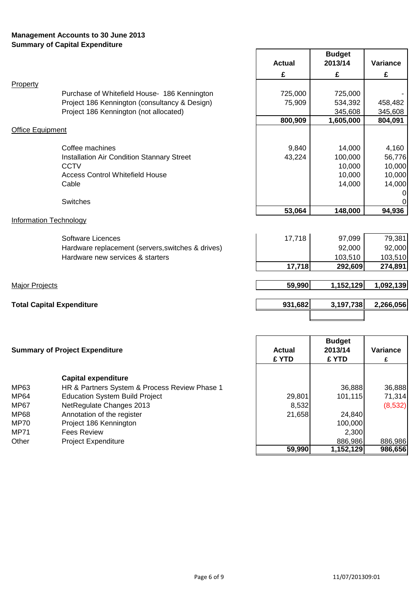# **Management Accounts to 30 June 2013 Summary of Capital Expenditure**

|                               |                                                   | <b>Actual</b> | <b>Budget</b><br>2013/14 | Variance  |
|-------------------------------|---------------------------------------------------|---------------|--------------------------|-----------|
|                               |                                                   | £             | £                        | £         |
| Property                      |                                                   |               |                          |           |
|                               | Purchase of Whitefield House- 186 Kennington      | 725,000       | 725,000                  |           |
|                               | Project 186 Kennington (consultancy & Design)     | 75,909        | 534,392                  | 458,482   |
|                               | Project 186 Kennington (not allocated)            |               | 345,608                  | 345,608   |
|                               |                                                   | 800,909       | 1,605,000                | 804,091   |
| <b>Office Equipment</b>       |                                                   |               |                          |           |
|                               | Coffee machines                                   | 9,840         | 14,000                   | 4,160     |
|                               | Installation Air Condition Stannary Street        | 43,224        | 100,000                  | 56,776    |
|                               | <b>CCTV</b>                                       |               | 10,000                   | 10,000    |
|                               | <b>Access Control Whitefield House</b>            |               | 10,000                   | 10,000    |
|                               | Cable                                             |               | 14,000                   | 14,000    |
|                               | <b>Switches</b>                                   |               |                          | 0<br>0    |
|                               |                                                   | 53,064        | 148,000                  | 94,936    |
| <b>Information Technology</b> |                                                   |               |                          |           |
|                               | Software Licences                                 | 17,718        | 97,099                   | 79,381    |
|                               | Hardware replacement (servers, switches & drives) |               | 92,000                   | 92,000    |
|                               | Hardware new services & starters                  |               | 103,510                  | 103,510   |
|                               |                                                   | 17,718        | 292,609                  | 274,891   |
| <b>Major Projects</b>         |                                                   | 59,990        | 1,152,129                | 1,092,139 |
|                               |                                                   |               |                          |           |
|                               | <b>Total Capital Expenditure</b>                  | 931,682       | 3,197,738                | 2,266,056 |
|                               |                                                   |               |                          |           |

| <b>Summary of Project Expenditure</b> |                                               | <b>Actual</b><br>£ YTD | <b>Budget</b><br>2013/14<br>£ YTD | <b>Variance</b> |
|---------------------------------------|-----------------------------------------------|------------------------|-----------------------------------|-----------------|
|                                       | <b>Capital expenditure</b>                    |                        |                                   |                 |
| MP63                                  | HR & Partners System & Process Review Phase 1 |                        | 36,888                            | 36,888          |
| MP64                                  | <b>Education System Build Project</b>         | 29,801                 | 101,115                           | 71,314          |
| MP67                                  | NetRegulate Changes 2013                      | 8,532                  |                                   | (8,532)         |
| MP68                                  | Annotation of the register                    | 21,658                 | 24,840                            |                 |
| MP70                                  | Project 186 Kennington                        |                        | 100,000                           |                 |
| MP71                                  | <b>Fees Review</b>                            |                        | 2,300                             |                 |
| Other                                 | <b>Project Expenditure</b>                    |                        | 886,986                           | 886,986         |
|                                       |                                               | 59,990                 | 1,152,129                         | 986,656         |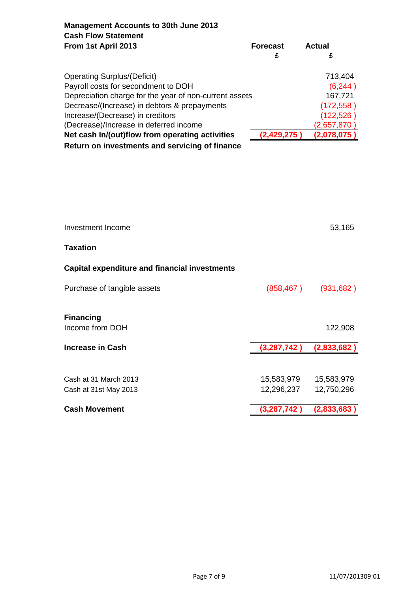**Management Accounts to 30th June 2013 Cash Flow Statement From 1st April 2013** Forecast Actual

| <b>Operating Surplus/(Deficit)</b>                     |               | 713,404     |
|--------------------------------------------------------|---------------|-------------|
| Payroll costs for secondment to DOH                    |               | (6,244)     |
| Depreciation charge for the year of non-current assets |               | 167,721     |
| Decrease/(Increase) in debtors & prepayments           |               | (172, 558)  |
| Increase/(Decrease) in creditors                       |               | (122, 526)  |
| (Decrease)/Increase in deferred income                 |               | (2,657,870) |
| Net cash In/(out)flow from operating activities        | (2, 429, 275) | (2,078,075) |
| Return on investments and servicing of finance         |               |             |

| <b>Cash Movement</b>                                 | (3,287,742  | (2,833,683) |
|------------------------------------------------------|-------------|-------------|
|                                                      |             |             |
| Cash at 31st May 2013                                | 12,296,237  | 12,750,296  |
| Cash at 31 March 2013                                | 15,583,979  | 15,583,979  |
|                                                      |             |             |
| <b>Increase in Cash</b>                              | (3,287,742) | (2,833,682) |
| <b>Financing</b><br>Income from DOH                  |             | 122,908     |
| Purchase of tangible assets                          | (858, 467)  | (931, 682)  |
| <b>Capital expenditure and financial investments</b> |             |             |
| <b>Taxation</b>                                      |             |             |
| Investment Income                                    |             | 53,165      |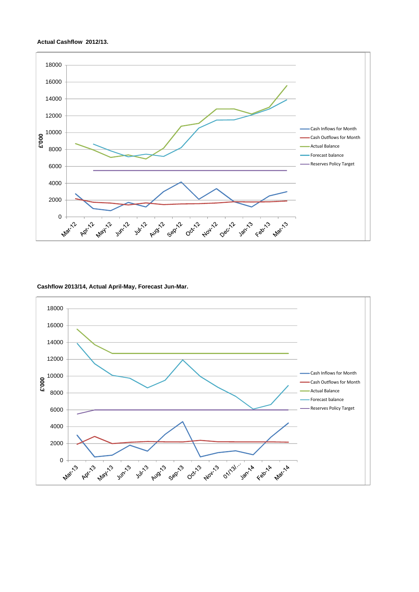

#### **Cashflow 2013/14, Actual April-May, Forecast Jun-Mar.**



#### **Actual Cashflow 2012/13.**